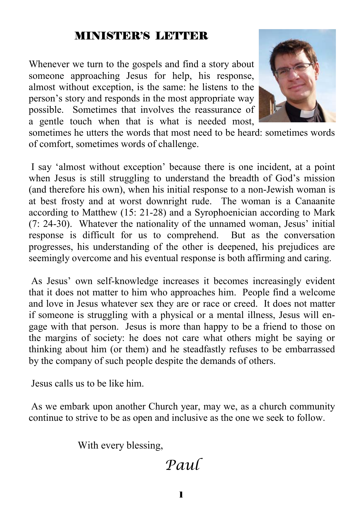#### MINISTER'S LETTER

Whenever we turn to the gospels and find a story about someone approaching Jesus for help, his response, almost without exception, is the same: he listens to the person's story and responds in the most appropriate way possible. Sometimes that involves the reassurance of a gentle touch when that is what is needed most,



sometimes he utters the words that most need to be heard: sometimes words of comfort, sometimes words of challenge.

 I say 'almost without exception' because there is one incident, at a point when Jesus is still struggling to understand the breadth of God's mission (and therefore his own), when his initial response to a non-Jewish woman is at best frosty and at worst downright rude. The woman is a Canaanite according to Matthew (15: 21-28) and a Syrophoenician according to Mark (7: 24-30). Whatever the nationality of the unnamed woman, Jesus' initial response is difficult for us to comprehend. But as the conversation progresses, his understanding of the other is deepened, his prejudices are seemingly overcome and his eventual response is both affirming and caring.

 As Jesus' own self-knowledge increases it becomes increasingly evident that it does not matter to him who approaches him. People find a welcome and love in Jesus whatever sex they are or race or creed. It does not matter if someone is struggling with a physical or a mental illness, Jesus will engage with that person. Jesus is more than happy to be a friend to those on the margins of society: he does not care what others might be saying or thinking about him (or them) and he steadfastly refuses to be embarrassed by the company of such people despite the demands of others.

Jesus calls us to be like him.

 As we embark upon another Church year, may we, as a church community continue to strive to be as open and inclusive as the one we seek to follow.

With every blessing,

# *Paul*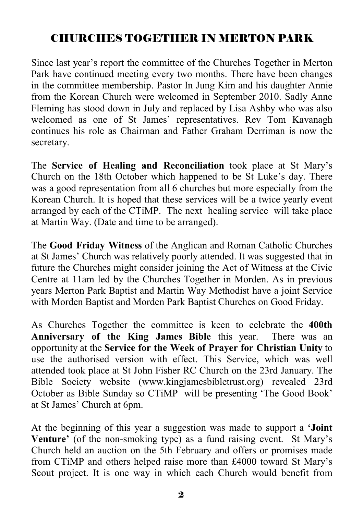## CHURCHES TOGETHER IN MERTON PARK

Since last year's report the committee of the Churches Together in Merton Park have continued meeting every two months. There have been changes in the committee membership. Pastor In Jung Kim and his daughter Annie from the Korean Church were welcomed in September 2010. Sadly Anne Fleming has stood down in July and replaced by Lisa Ashby who was also welcomed as one of St James' representatives. Rev Tom Kavanagh continues his role as Chairman and Father Graham Derriman is now the secretary.

The **Service of Healing and Reconciliation** took place at St Mary's Church on the 18th October which happened to be St Luke's day. There was a good representation from all 6 churches but more especially from the Korean Church. It is hoped that these services will be a twice yearly event arranged by each of the CTiMP. The next healing service will take place at Martin Way. (Date and time to be arranged).

The **Good Friday Witness** of the Anglican and Roman Catholic Churches at St James' Church was relatively poorly attended. It was suggested that in future the Churches might consider joining the Act of Witness at the Civic Centre at 11am led by the Churches Together in Morden. As in previous years Merton Park Baptist and Martin Way Methodist have a joint Service with Morden Baptist and Morden Park Baptist Churches on Good Friday.

As Churches Together the committee is keen to celebrate the **400th Anniversary of the King James Bible** this year. There was an opportunity at the **Service for the Week of Prayer for Christian Unity** to use the authorised version with effect. This Service, which was well attended took place at St John Fisher RC Church on the 23rd January. The Bible Society website (www.kingjamesbibletrust.org) revealed 23rd October as Bible Sunday so CTiMP will be presenting 'The Good Book' at St James' Church at 6pm.

At the beginning of this year a suggestion was made to support a **'Joint Venture'** (of the non-smoking type) as a fund raising event. St Mary's Church held an auction on the 5th February and offers or promises made from CTiMP and others helped raise more than £4000 toward St Mary's Scout project. It is one way in which each Church would benefit from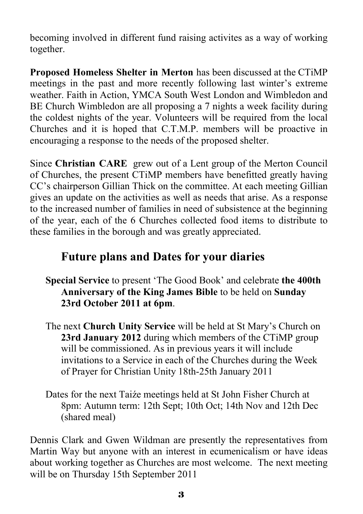becoming involved in different fund raising activites as a way of working together.

**Proposed Homeless Shelter in Merton** has been discussed at the CTiMP meetings in the past and more recently following last winter's extreme weather. Faith in Action, YMCA South West London and Wimbledon and BE Church Wimbledon are all proposing a 7 nights a week facility during the coldest nights of the year. Volunteers will be required from the local Churches and it is hoped that C.T.M.P. members will be proactive in encouraging a response to the needs of the proposed shelter.

Since **Christian CARE** grew out of a Lent group of the Merton Council of Churches, the present CTiMP members have benefitted greatly having CC's chairperson Gillian Thick on the committee. At each meeting Gillian gives an update on the activities as well as needs that arise. As a response to the increased number of families in need of subsistence at the beginning of the year, each of the 6 Churches collected food items to distribute to these families in the borough and was greatly appreciated.

## **Future plans and Dates for your diaries**

- **Special Service** to present 'The Good Book' and celebrate **the 400th Anniversary of the King James Bible** to be held on **Sunday 23rd October 2011 at 6pm**.
- The next **Church Unity Service** will be held at St Mary's Church on **23rd January 2012** during which members of the CTiMP group will be commissioned. As in previous years it will include invitations to a Service in each of the Churches during the Week of Prayer for Christian Unity 18th-25th January 2011
- Dates for the next Taiźe meetings held at St John Fisher Church at 8pm: Autumn term: 12th Sept; 10th Oct; 14th Nov and 12th Dec (shared meal)

Dennis Clark and Gwen Wildman are presently the representatives from Martin Way but anyone with an interest in ecumenicalism or have ideas about working together as Churches are most welcome. The next meeting will be on Thursday 15th September 2011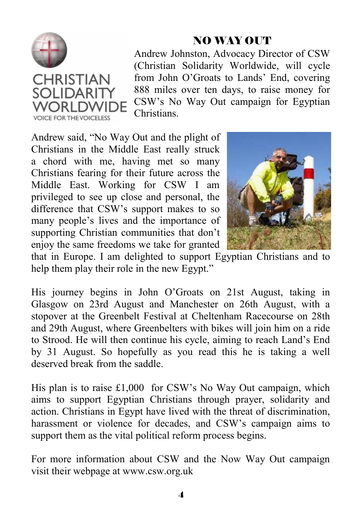

## NO WAY OUT

Andrew Johnston, Advocacy Director of CSW (Christian Solidarity Worldwide, will cycle from John O'Groats to Lands' End, covering 888 miles over ten days, to raise money for CSW's No Way Out campaign for Egyptian **Christians** 

Andrew said, "No Way Out and the plight of Christians in the Middle East really struck a chord with me, having met so many Christians fearing for their future across the Middle East. Working for CSW I am privileged to see up close and personal, the difference that CSW's support makes to so many people's lives and the importance of supporting Christian communities that don't enjoy the same freedoms we take for granted



that in Europe. I am delighted to support Egyptian Christians and to help them play their role in the new Egypt."

His journey begins in John O'Groats on 21st August, taking in Glasgow on 23rd August and Manchester on 26th August, with a stopover at the Greenbelt Festival at Cheltenham Racecourse on 28th and 29th August, where Greenbelters with bikes will join him on a ride to Strood. He will then continue his cycle, aiming to reach Land's End by 31 August. So hopefully as you read this he is taking a well deserved break from the saddle.

His plan is to raise £1,000 for CSW's No Way Out campaign, which aims to support Egyptian Christians through prayer, solidarity and action. Christians in Egypt have lived with the threat of discrimination, harassment or violence for decades, and CSW's campaign aims to support them as the vital political reform process begins.

For more information about CSW and the Now Way Out campaign visit their webpage at www.csw.org.uk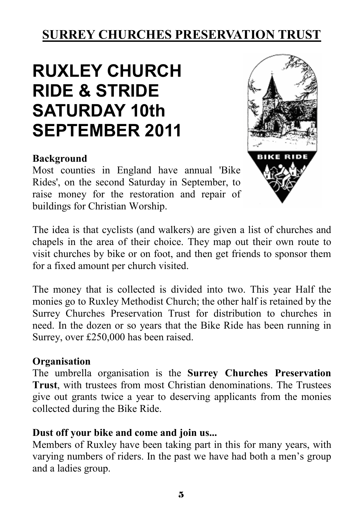## **SURREY CHURCHES PRESERVATION TRUST**

# **RUXLEY CHURCH RIDE & STRIDE SATURDAY 10th SEPTEMBER 2011**

#### **Background**

Most counties in England have annual 'Bike Rides', on the second Saturday in September, to raise money for the restoration and repair of buildings for Christian Worship.



The idea is that cyclists (and walkers) are given a list of churches and chapels in the area of their choice. They map out their own route to visit churches by bike or on foot, and then get friends to sponsor them for a fixed amount per church visited.

The money that is collected is divided into two. This year Half the monies go to Ruxley Methodist Church; the other half is retained by the Surrey Churches Preservation Trust for distribution to churches in need. In the dozen or so years that the Bike Ride has been running in Surrey, over £250,000 has been raised.

#### **Organisation**

The umbrella organisation is the **Surrey Churches Preservation Trust**, with trustees from most Christian denominations. The Trustees give out grants twice a year to deserving applicants from the monies collected during the Bike Ride.

#### **Dust off your bike and come and join us...**

Members of Ruxley have been taking part in this for many years, with varying numbers of riders. In the past we have had both a men's group and a ladies group.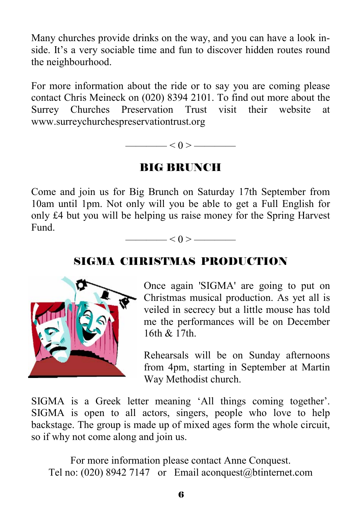Many churches provide drinks on the way, and you can have a look inside. It's a very sociable time and fun to discover hidden routes round the neighbourhood.

For more information about the ride or to say you are coming please contact Chris Meineck on (020) 8394 2101. To find out more about the Surrey Churches Preservation Trust visit their website at www.surreychurchespreservationtrust.org



#### BIG BRUNCH

Come and join us for Big Brunch on Saturday 17th September from 10am until 1pm. Not only will you be able to get a Full English for only £4 but you will be helping us raise money for the Spring Harvest Fund.

 $\langle 0 \rangle$   $\longrightarrow$ 

#### SIGMA CHRISTMAS PRODUCTION



Once again 'SIGMA' are going to put on Christmas musical production. As yet all is veiled in secrecy but a little mouse has told me the performances will be on December 16th & 17th.

Rehearsals will be on Sunday afternoons from 4pm, starting in September at Martin Way Methodist church.

SIGMA is a Greek letter meaning 'All things coming together'. SIGMA is open to all actors, singers, people who love to help backstage. The group is made up of mixed ages form the whole circuit, so if why not come along and join us.

For more information please contact Anne Conquest. Tel no: (020) 8942 7147 or Email aconquest@btinternet.com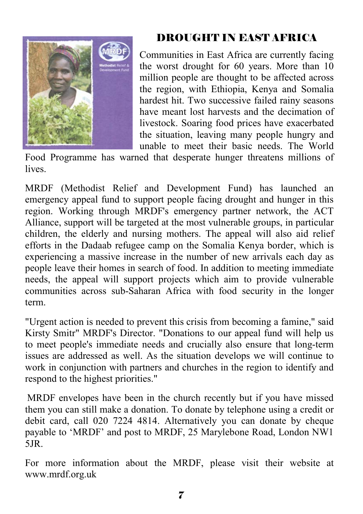

## DROUGHT IN EAST AFRICA

Communities in East Africa are currently facing the worst drought for 60 years. More than 10 million people are thought to be affected across the region, with Ethiopia, Kenya and Somalia hardest hit. Two successive failed rainy seasons have meant lost harvests and the decimation of livestock. Soaring food prices have exacerbated the situation, leaving many people hungry and unable to meet their basic needs. The World

Food Programme has warned that desperate hunger threatens millions of **lives** 

MRDF (Methodist Relief and Development Fund) has launched an emergency appeal fund to support people facing drought and hunger in this region. Working through MRDF's emergency partner network, the ACT Alliance, support will be targeted at the most vulnerable groups, in particular children, the elderly and nursing mothers. The appeal will also aid relief efforts in the Dadaab refugee camp on the Somalia Kenya border, which is experiencing a massive increase in the number of new arrivals each day as people leave their homes in search of food. In addition to meeting immediate needs, the appeal will support projects which aim to provide vulnerable communities across sub-Saharan Africa with food security in the longer term.

"Urgent action is needed to prevent this crisis from becoming a famine," said Kirsty Smitr" MRDF's Director. "Donations to our appeal fund will help us to meet people's immediate needs and crucially also ensure that long-term issues are addressed as well. As the situation develops we will continue to work in conjunction with partners and churches in the region to identify and respond to the highest priorities."

MRDF envelopes have been in the church recently but if you have missed them you can still make a donation. To donate by telephone using a credit or debit card, call 020 7224 4814. Alternatively you can donate by cheque payable to 'MRDF' and post to MRDF, 25 Marylebone Road, London NW1 5JR.

For more information about the MRDF, please visit their website at www.mrdf.org.uk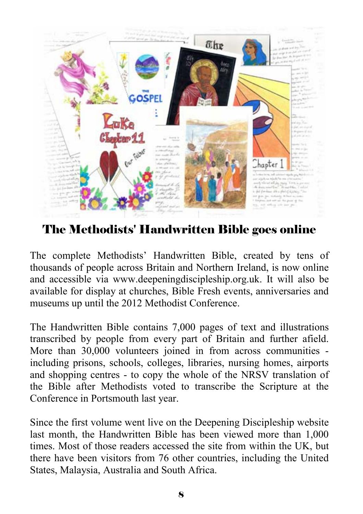

The Methodists' Handwritten Bible goes online

The complete Methodists' Handwritten Bible, created by tens of thousands of people across Britain and Northern Ireland, is now online and accessible via www.deepeningdiscipleship.org.uk. It will also be available for display at churches, Bible Fresh events, anniversaries and museums up until the 2012 Methodist Conference.

The Handwritten Bible contains 7,000 pages of text and illustrations transcribed by people from every part of Britain and further afield. More than 30,000 volunteers joined in from across communities including prisons, schools, colleges, libraries, nursing homes, airports and shopping centres - to copy the whole of the NRSV translation of the Bible after Methodists voted to transcribe the Scripture at the Conference in Portsmouth last year.

Since the first volume went live on the Deepening Discipleship website last month, the Handwritten Bible has been viewed more than 1,000 times. Most of those readers accessed the site from within the UK, but there have been visitors from 76 other countries, including the United States, Malaysia, Australia and South Africa.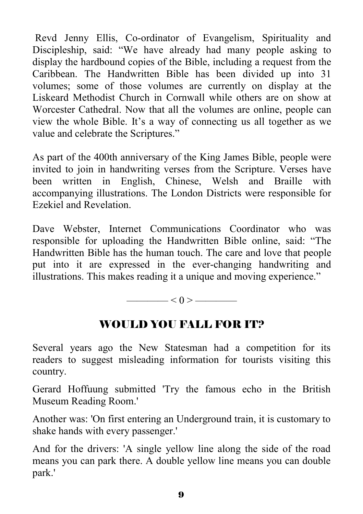Revd Jenny Ellis, Co-ordinator of Evangelism, Spirituality and Discipleship, said: "We have already had many people asking to display the hardbound copies of the Bible, including a request from the Caribbean. The Handwritten Bible has been divided up into 31 volumes; some of those volumes are currently on display at the Liskeard Methodist Church in Cornwall while others are on show at Worcester Cathedral. Now that all the volumes are online, people can view the whole Bible. It's a way of connecting us all together as we value and celebrate the Scriptures."

As part of the 400th anniversary of the King James Bible, people were invited to join in handwriting verses from the Scripture. Verses have been written in English, Chinese, Welsh and Braille with accompanying illustrations. The London Districts were responsible for Ezekiel and Revelation.

Dave Webster, Internet Communications Coordinator who was responsible for uploading the Handwritten Bible online, said: "The Handwritten Bible has the human touch. The care and love that people put into it are expressed in the ever-changing handwriting and illustrations. This makes reading it a unique and moving experience."

———— < 0 > ————

## WOULD YOU FALL FOR IT?

Several years ago the New Statesman had a competition for its readers to suggest misleading information for tourists visiting this country.

Gerard Hoffuung submitted 'Try the famous echo in the British Museum Reading Room.'

Another was: 'On first entering an Underground train, it is customary to shake hands with every passenger.'

And for the drivers: 'A single yellow line along the side of the road means you can park there. A double yellow line means you can double park.'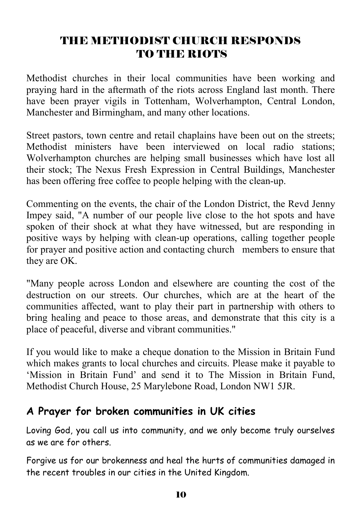## THE METHODIST CHURCH RESPONDS TO THE RIOTS

Methodist churches in their local communities have been working and praying hard in the aftermath of the riots across England last month. There have been prayer vigils in Tottenham, Wolverhampton, Central London, Manchester and Birmingham, and many other locations.

Street pastors, town centre and retail chaplains have been out on the streets; Methodist ministers have been interviewed on local radio stations; Wolverhampton churches are helping small businesses which have lost all their stock; The Nexus Fresh Expression in Central Buildings, Manchester has been offering free coffee to people helping with the clean-up.

Commenting on the events, the chair of the London District, the Revd Jenny Impey said, "A number of our people live close to the hot spots and have spoken of their shock at what they have witnessed, but are responding in positive ways by helping with clean-up operations, calling together people for prayer and positive action and contacting church members to ensure that they are OK.

"Many people across London and elsewhere are counting the cost of the destruction on our streets. Our churches, which are at the heart of the communities affected, want to play their part in partnership with others to bring healing and peace to those areas, and demonstrate that this city is a place of peaceful, diverse and vibrant communities."

If you would like to make a cheque donation to the Mission in Britain Fund which makes grants to local churches and circuits. Please make it payable to 'Mission in Britain Fund' and send it to The Mission in Britain Fund, Methodist Church House, 25 Marylebone Road, London NW1 5JR.

#### **A Prayer for broken communities in UK cities**

Loving God, you call us into community, and we only become truly ourselves as we are for others.

Forgive us for our brokenness and heal the hurts of communities damaged in the recent troubles in our cities in the United Kingdom.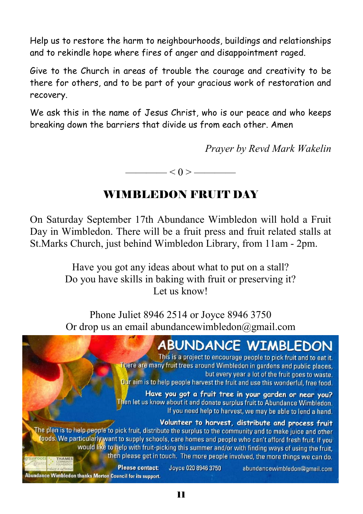Help us to restore the harm to neighbourhoods, buildings and relationships and to rekindle hope where fires of anger and disappointment raged.

Give to the Church in areas of trouble the courage and creativity to be there for others, and to be part of your gracious work of restoration and recovery.

We ask this in the name of Jesus Christ, who is our peace and who keeps breaking down the barriers that divide us from each other. Amen

*Prayer by Revd Mark Wakelin* 

 $\longrightarrow$  < 0 >  $\longrightarrow$ 

## WIMBLEDON FRUIT DAY

On Saturday September 17th Abundance Wimbledon will hold a Fruit Day in Wimbledon. There will be a fruit press and fruit related stalls at St.Marks Church, just behind Wimbledon Library, from 11am - 2pm.

> Have you got any ideas about what to put on a stall? Do you have skills in baking with fruit or preserving it? Let us know!

> Phone Juliet 8946 2514 or Joyce 8946 3750 Or drop us an email abundancewimbledon $@$ gmail.com

# **ABUNDANCE WIMBLEDON**

This is a project to encourage people to pick fruit and to eat it. There are many fruit trees around Wimbledon in gardens and public places. but every year a lot of the fruit goes to waste. Our aim is to help people harvest the fruit and use this wonderful, free food.

Have you got a fruit tree in your garden or near you? Then let us know about it and donate surplus fruit to Abundance Wimbledon. If you need help to harvest, we may be able to lend a hand.

#### Volunteer to harvest, distribute and process fruit

The plan is to help people to pick fruit, distribute the surplus to the community and to make juice and other foods. We particularly want to supply schools, care homes and people who can't afford fresh fruit. If you would like to help with fruit-picking this summer and/or with finding ways of using the fruit, then please get in touch. The more people involved, the more things we can do.

> Joyce 020 8946 3750 abundancewimbledon@gmail.com

Abundance Wimbledon thanks Merton Council for its support.

**Please contact:**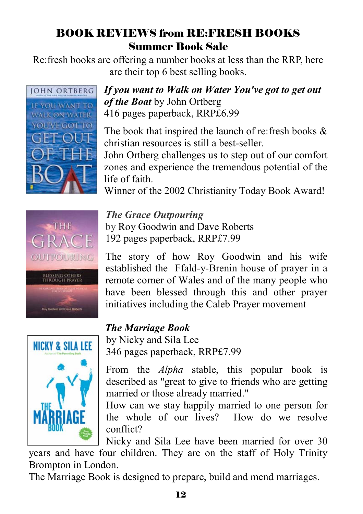## BOOK REVIEWS from RE:FRESH BOOKS Summer Book Sale

Re:fresh books are offering a number books at less than the RRP, here are their top 6 best selling books.



#### *If you want to Walk on Water You've got to get out of the Boat* by John Ortberg 416 pages paperback, RRP£6.99

The book that inspired the launch of re: fresh books  $\&$ christian resources is still a best-seller.

John Ortberg challenges us to step out of our comfort zones and experience the tremendous potential of the life of faith.

Winner of the 2002 Christianity Today Book Award!



#### *The Grace Outpouring*

by Roy Goodwin and Dave Roberts 192 pages paperback, RRP£7.99

The story of how Roy Goodwin and his wife established the Ffald-y-Brenin house of prayer in a remote corner of Wales and of the many people who have been blessed through this and other prayer initiatives including the Caleb Prayer movement

## *The Marriage Book*

by Nicky and Sila Lee 346 pages paperback, RRP£7.99

From the *Alpha* stable, this popular book is described as "great to give to friends who are getting married or those already married."

How can we stay happily married to one person for the whole of our lives? How do we resolve conflict?

Nicky and Sila Lee have been married for over 30 years and have four children. They are on the staff of Holy Trinity Brompton in London.

The Marriage Book is designed to prepare, build and mend marriages.

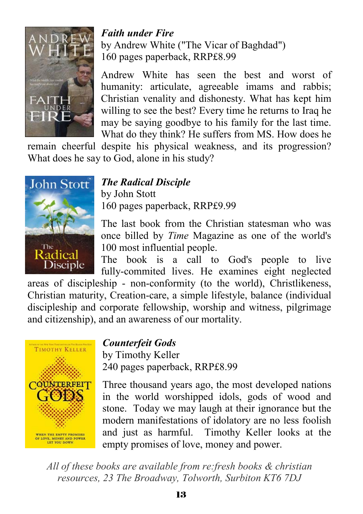

#### *Faith under Fire*  by Andrew White ("The Vicar of Baghdad") 160 pages paperback, RRP£8.99

Andrew White has seen the best and worst of humanity: articulate, agreeable imams and rabbis; Christian venality and dishonesty. What has kept him willing to see the best? Every time he returns to Iraq he may be saying goodbye to his family for the last time. What do they think? He suffers from MS. How does he

remain cheerful despite his physical weakness, and its progression? What does he say to God, alone in his study?



#### *The Radical Disciple*

by John Stott 160 pages paperback, RRP£9.99

The last book from the Christian statesman who was once billed by *Time* Magazine as one of the world's 100 most influential people.

The book is a call to God's people to live fully-commited lives. He examines eight neglected

areas of discipleship - non-conformity (to the world), Christlikeness, Christian maturity, Creation-care, a simple lifestyle, balance (individual discipleship and corporate fellowship, worship and witness, pilgrimage and citizenship), and an awareness of our mortality.



#### *Counterfeit Gods*

by Timothy Keller 240 pages paperback, RRP£8.99

Three thousand years ago, the most developed nations in the world worshipped idols, gods of wood and stone. Today we may laugh at their ignorance but the modern manifestations of idolatory are no less foolish and just as harmful. Timothy Keller looks at the empty promises of love, money and power.

*All of these books are available from re:fresh books & christian resources, 23 The Broadway, Tolworth, Surbiton KT6 7DJ*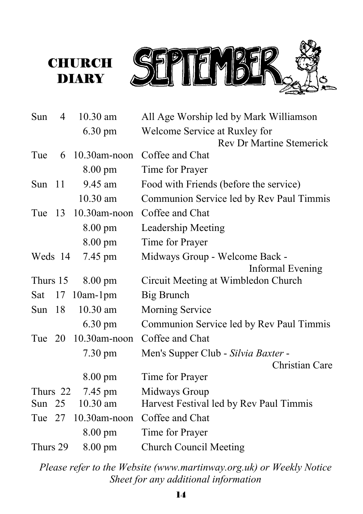



| Sun      | 4  | $10.30$ am          | All Age Worship led by Mark Williamson   |
|----------|----|---------------------|------------------------------------------|
|          |    | 6.30 pm             | Welcome Service at Ruxley for            |
|          |    |                     | <b>Rev Dr Martine Stemerick</b>          |
| Tue      | 6  | $10.30$ am-noon     | Coffee and Chat                          |
|          |    | 8.00 pm             | Time for Prayer                          |
| Sun $11$ |    | 9.45 am             | Food with Friends (before the service)   |
|          |    | 10.30 am            | Communion Service led by Rev Paul Timmis |
| Tue 13   |    | $10.30$ am-noon     | Coffee and Chat                          |
|          |    | 8.00 pm             | Leadership Meeting                       |
|          |    | $8.00 \text{ pm}$   | Time for Prayer                          |
| Weds 14  |    | 7.45 pm             | Midways Group - Welcome Back -           |
|          |    |                     | Informal Evening                         |
| Thurs 15 |    | $8.00 \text{ pm}$   | Circuit Meeting at Wimbledon Church      |
| Sat      | 17 | $10am-1pm$          | Big Brunch                               |
| Sun $18$ |    | $10.30$ am          | Morning Service                          |
|          |    | $6.30 \text{ pm}$   | Communion Service led by Rev Paul Timmis |
|          |    | Tue 20 10.30am-noon | Coffee and Chat                          |
|          |    | $7.30 \text{ pm}$   | Men's Supper Club - Silvia Baxter -      |
|          |    |                     | Christian Care                           |
|          |    | $8.00 \text{ pm}$   | Time for Prayer                          |
| Thurs 22 |    | 7.45 pm             | Midways Group                            |
| Sun $25$ |    | 10.30 am            | Harvest Festival led by Rev Paul Timmis  |
|          |    | Tue 27 10.30am-noon | Coffee and Chat                          |
|          |    | 8.00 pm             | Time for Prayer                          |
| Thurs 29 |    | $8.00 \text{ pm}$   | <b>Church Council Meeting</b>            |

*Please refer to the Website (www.martinway.org.uk) or Weekly Notice Sheet for any additional information*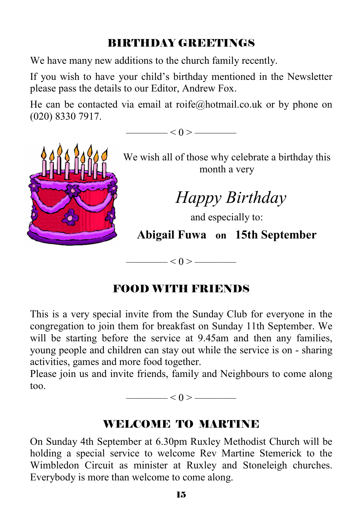## BIRTHDAY GREETINGS

We have many new additions to the church family recently.

If you wish to have your child's birthday mentioned in the Newsletter please pass the details to our Editor, Andrew Fox.

He can be contacted via email at roife@hotmail.co.uk or by phone on (020) 8330 7917.

 $< 0 >$  ——



We wish all of those why celebrate a birthday this month a very

 *Happy Birthday* 

and especially to:

**Abigail Fuwa on 15th September** 

#### FOOD WITH FRIENDS

 $\left| \alpha \right| < 0$  > ————

This is a very special invite from the Sunday Club for everyone in the congregation to join them for breakfast on Sunday 11th September. We will be starting before the service at 9.45am and then any families, young people and children can stay out while the service is on - sharing activities, games and more food together.

Please join us and invite friends, family and Neighbours to come along too.

———— < 0 > ————

#### WELCOME TO MARTINE

On Sunday 4th September at 6.30pm Ruxley Methodist Church will be holding a special service to welcome Rev Martine Stemerick to the Wimbledon Circuit as minister at Ruxley and Stoneleigh churches. Everybody is more than welcome to come along.